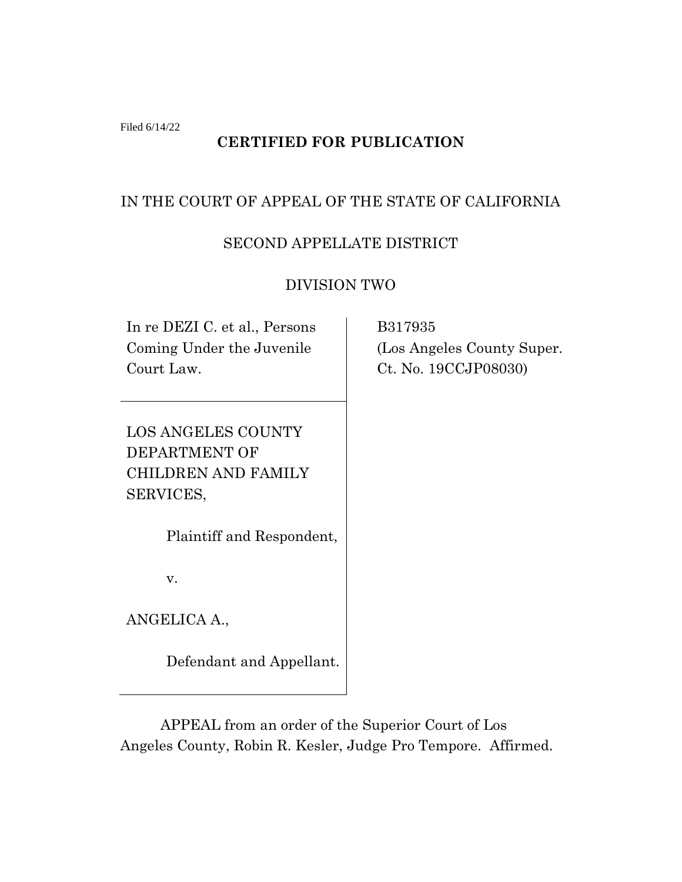Filed 6/14/22

# **CERTIFIED FOR PUBLICATION**

## IN THE COURT OF APPEAL OF THE STATE OF CALIFORNIA

### SECOND APPELLATE DISTRICT

### DIVISION TWO

In re DEZI C. et al., Persons Coming Under the Juvenile Court Law.

LOS ANGELES COUNTY DEPARTMENT OF CHILDREN AND FAMILY SERVICES,

Plaintiff and Respondent,

v.

ANGELICA A.,

Defendant and Appellant.

 B317935 (Los Angeles County Super. Ct. No. 19CCJP08030)

APPEAL from an order of the Superior Court of Los Angeles County, Robin R. Kesler, Judge Pro Tempore. Affirmed.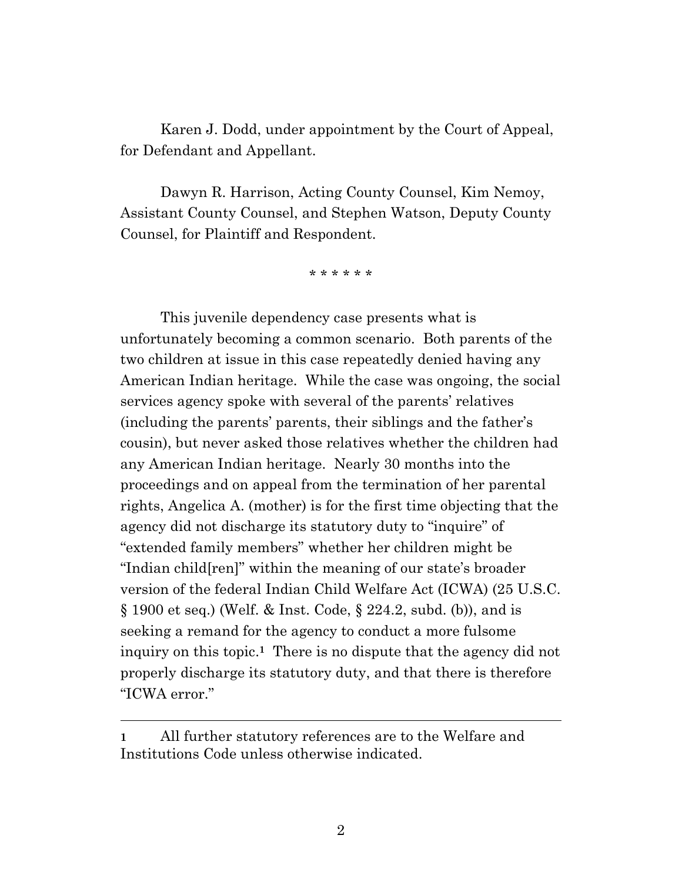Karen J. Dodd, under appointment by the Court of Appeal, for Defendant and Appellant.

Dawyn R. Harrison, Acting County Counsel, Kim Nemoy, Assistant County Counsel, and Stephen Watson, Deputy County Counsel, for Plaintiff and Respondent.

\* \* \* \* \* \*

This juvenile dependency case presents what is unfortunately becoming a common scenario. Both parents of the two children at issue in this case repeatedly denied having any American Indian heritage. While the case was ongoing, the social services agency spoke with several of the parents' relatives (including the parents' parents, their siblings and the father's cousin), but never asked those relatives whether the children had any American Indian heritage. Nearly 30 months into the proceedings and on appeal from the termination of her parental rights, Angelica A. (mother) is for the first time objecting that the agency did not discharge its statutory duty to "inquire" of "extended family members" whether her children might be "Indian child[ren]" within the meaning of our state's broader version of the federal Indian Child Welfare Act (ICWA) (25 U.S.C. § 1900 et seq.) (Welf. & Inst. Code, § 224.2, subd. (b)), and is seeking a remand for the agency to conduct a more fulsome inquiry on this topic.**1** There is no dispute that the agency did not properly discharge its statutory duty, and that there is therefore "ICWA error."

**<sup>1</sup>** All further statutory references are to the Welfare and Institutions Code unless otherwise indicated.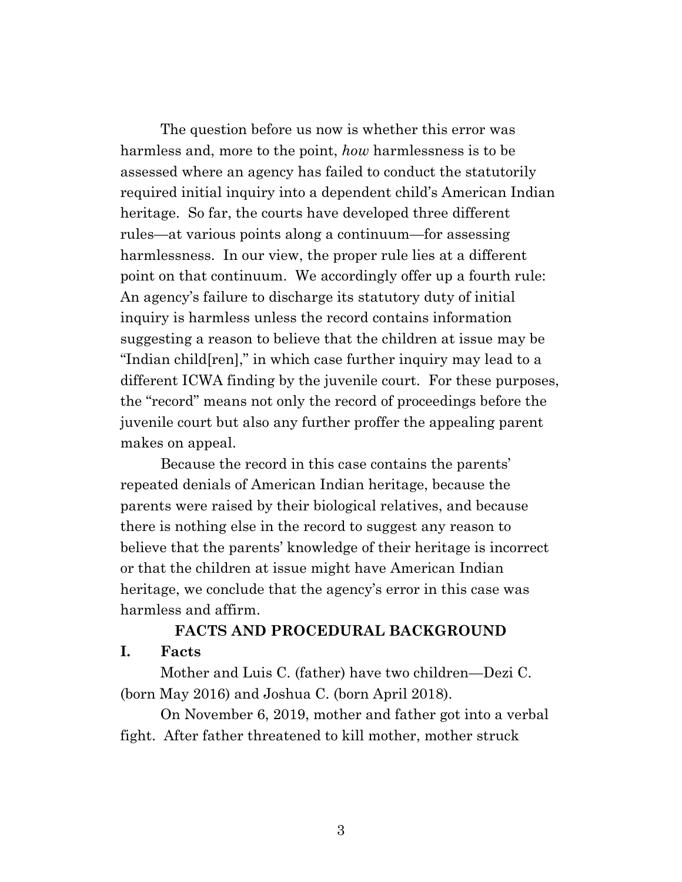The question before us now is whether this error was harmless and, more to the point, *how* harmlessness is to be assessed where an agency has failed to conduct the statutorily required initial inquiry into a dependent child's American Indian heritage. So far, the courts have developed three different rules—at various points along a continuum—for assessing harmlessness. In our view, the proper rule lies at a different point on that continuum. We accordingly offer up a fourth rule: An agency's failure to discharge its statutory duty of initial inquiry is harmless unless the record contains information suggesting a reason to believe that the children at issue may be "Indian child[ren]," in which case further inquiry may lead to a different ICWA finding by the juvenile court. For these purposes, the "record" means not only the record of proceedings before the juvenile court but also any further proffer the appealing parent makes on appeal.

Because the record in this case contains the parents' repeated denials of American Indian heritage, because the parents were raised by their biological relatives, and because there is nothing else in the record to suggest any reason to believe that the parents' knowledge of their heritage is incorrect or that the children at issue might have American Indian heritage, we conclude that the agency's error in this case was harmless and affirm.

### **FACTS AND PROCEDURAL BACKGROUND I. Facts**

Mother and Luis C. (father) have two children—Dezi C. (born May 2016) and Joshua C. (born April 2018).

On November 6, 2019, mother and father got into a verbal fight. After father threatened to kill mother, mother struck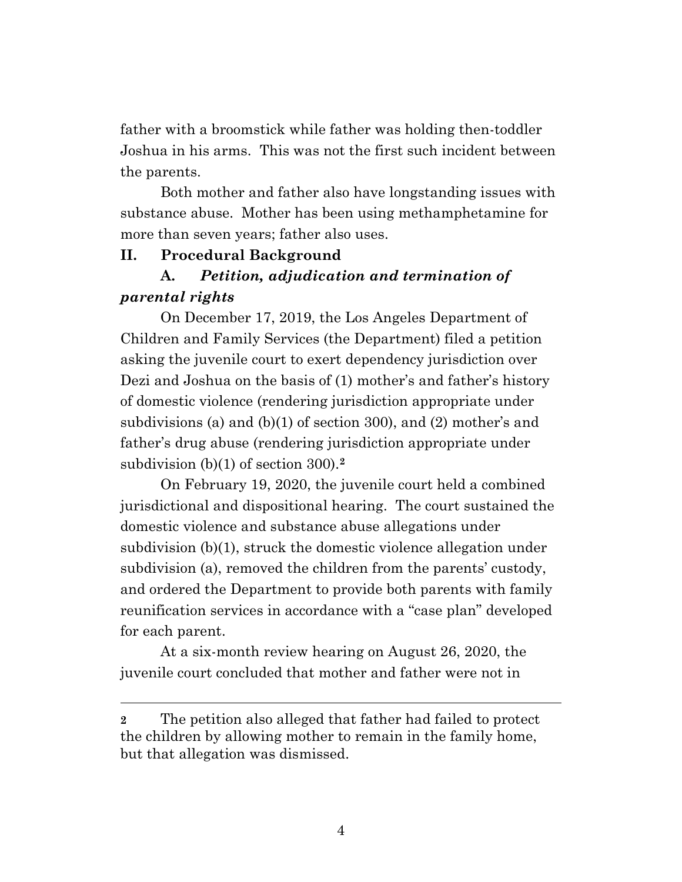father with a broomstick while father was holding then-toddler Joshua in his arms. This was not the first such incident between the parents.

Both mother and father also have longstanding issues with substance abuse. Mother has been using methamphetamine for more than seven years; father also uses.

#### **II. Procedural Background**

# **A.** *Petition, adjudication and termination of parental rights*

On December 17, 2019, the Los Angeles Department of Children and Family Services (the Department) filed a petition asking the juvenile court to exert dependency jurisdiction over Dezi and Joshua on the basis of (1) mother's and father's history of domestic violence (rendering jurisdiction appropriate under subdivisions (a) and (b)(1) of section 300), and (2) mother's and father's drug abuse (rendering jurisdiction appropriate under subdivision (b)(1) of section 300).**<sup>2</sup>**

On February 19, 2020, the juvenile court held a combined jurisdictional and dispositional hearing. The court sustained the domestic violence and substance abuse allegations under subdivision (b)(1), struck the domestic violence allegation under subdivision (a), removed the children from the parents' custody, and ordered the Department to provide both parents with family reunification services in accordance with a "case plan" developed for each parent.

At a six-month review hearing on August 26, 2020, the juvenile court concluded that mother and father were not in

**<sup>2</sup>** The petition also alleged that father had failed to protect the children by allowing mother to remain in the family home, but that allegation was dismissed.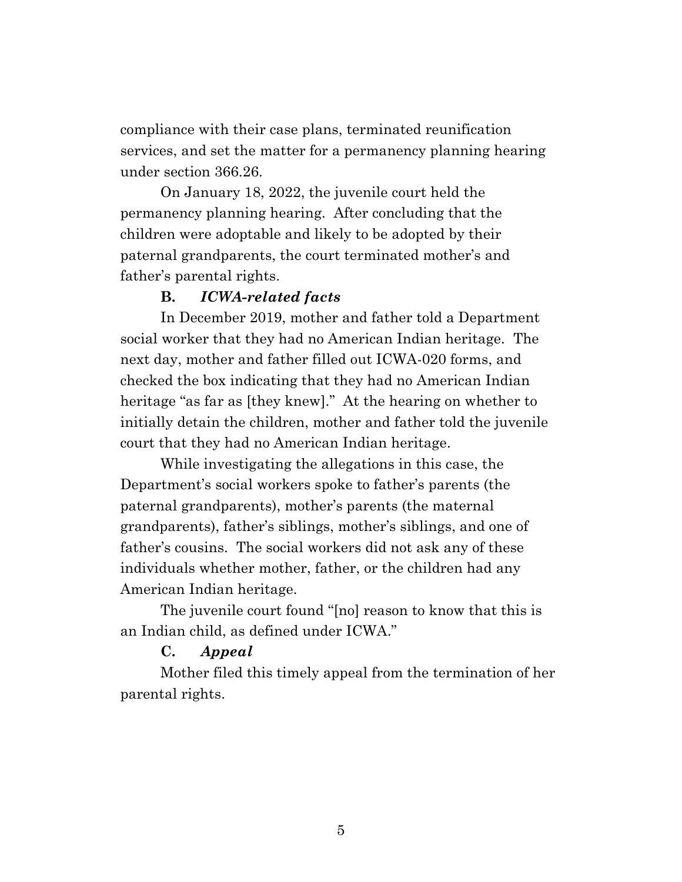compliance with their case plans, terminated reunification services, and set the matter for a permanency planning hearing under section 366.26.

On January 18, 2022, the juvenile court held the permanency planning hearing. After concluding that the children were adoptable and likely to be adopted by their paternal grandparents, the court terminated mother's and father's parental rights.

### **B.** *ICWA-related facts*

In December 2019, mother and father told a Department social worker that they had no American Indian heritage. The next day, mother and father filled out ICWA-020 forms, and checked the box indicating that they had no American Indian heritage "as far as [they knew]." At the hearing on whether to initially detain the children, mother and father told the juvenile court that they had no American Indian heritage.

While investigating the allegations in this case, the Department's social workers spoke to father's parents (the paternal grandparents), mother's parents (the maternal grandparents), father's siblings, mother's siblings, and one of father's cousins. The social workers did not ask any of these individuals whether mother, father, or the children had any American Indian heritage.

The juvenile court found "[no] reason to know that this is an Indian child, as defined under ICWA."

### **C.** *Appeal*

Mother filed this timely appeal from the termination of her parental rights.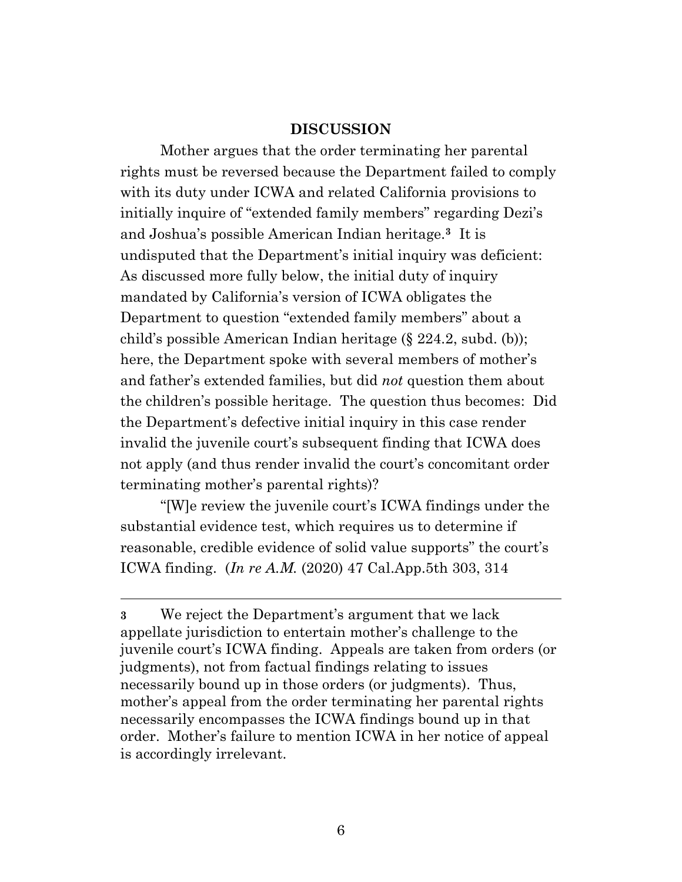#### **DISCUSSION**

Mother argues that the order terminating her parental rights must be reversed because the Department failed to comply with its duty under ICWA and related California provisions to initially inquire of "extended family members" regarding Dezi's and Joshua's possible American Indian heritage.**<sup>3</sup>** It is undisputed that the Department's initial inquiry was deficient: As discussed more fully below, the initial duty of inquiry mandated by California's version of ICWA obligates the Department to question "extended family members" about a child's possible American Indian heritage (§ 224.2, subd. (b)); here, the Department spoke with several members of mother's and father's extended families, but did *not* question them about the children's possible heritage. The question thus becomes: Did the Department's defective initial inquiry in this case render invalid the juvenile court's subsequent finding that ICWA does not apply (and thus render invalid the court's concomitant order terminating mother's parental rights)?

"[W]e review the juvenile court's ICWA findings under the substantial evidence test, which requires us to determine if reasonable, credible evidence of solid value supports" the court's ICWA finding. (*In re A.M.* (2020) 47 Cal.App.5th 303, 314

**<sup>3</sup>** We reject the Department's argument that we lack appellate jurisdiction to entertain mother's challenge to the juvenile court's ICWA finding. Appeals are taken from orders (or judgments), not from factual findings relating to issues necessarily bound up in those orders (or judgments). Thus, mother's appeal from the order terminating her parental rights necessarily encompasses the ICWA findings bound up in that order. Mother's failure to mention ICWA in her notice of appeal is accordingly irrelevant.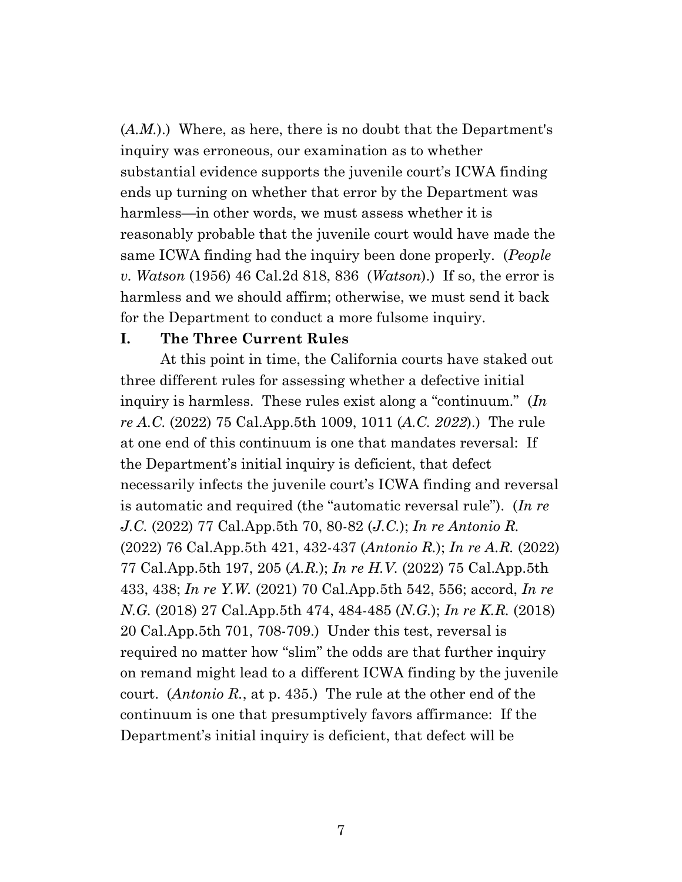(*A.M.*).) Where, as here, there is no doubt that the Department's inquiry was erroneous, our examination as to whether substantial evidence supports the juvenile court's ICWA finding ends up turning on whether that error by the Department was harmless—in other words, we must assess whether it is reasonably probable that the juvenile court would have made the same ICWA finding had the inquiry been done properly. (*People v. Watson* (1956) 46 Cal.2d 818, 836 (*Watson*).) If so, the error is harmless and we should affirm; otherwise, we must send it back for the Department to conduct a more fulsome inquiry.

#### **I. The Three Current Rules**

At this point in time, the California courts have staked out three different rules for assessing whether a defective initial inquiry is harmless. These rules exist along a "continuum." (*In re A.C.* (2022) 75 Cal.App.5th 1009, 1011 (*A.C. 2022*).) The rule at one end of this continuum is one that mandates reversal: If the Department's initial inquiry is deficient, that defect necessarily infects the juvenile court's ICWA finding and reversal is automatic and required (the "automatic reversal rule"). (*In re J.C.* (2022) 77 Cal.App.5th 70, 80-82 (*J.C.*); *In re Antonio R.* (2022) 76 Cal.App.5th 421, 432-437 (*Antonio R.*); *In re A.R.* (2022) 77 Cal.App.5th 197, 205 (*A.R.*); *In re H.V.* (2022) 75 Cal.App.5th 433, 438; *In re Y.W.* (2021) 70 Cal.App.5th 542, 556; accord, *In re N.G.* (2018) 27 Cal.App.5th 474, 484-485 (*N.G.*); *In re K.R.* (2018) 20 Cal.App.5th 701, 708-709.) Under this test, reversal is required no matter how "slim" the odds are that further inquiry on remand might lead to a different ICWA finding by the juvenile court. (*Antonio R.*, at p. 435.) The rule at the other end of the continuum is one that presumptively favors affirmance: If the Department's initial inquiry is deficient, that defect will be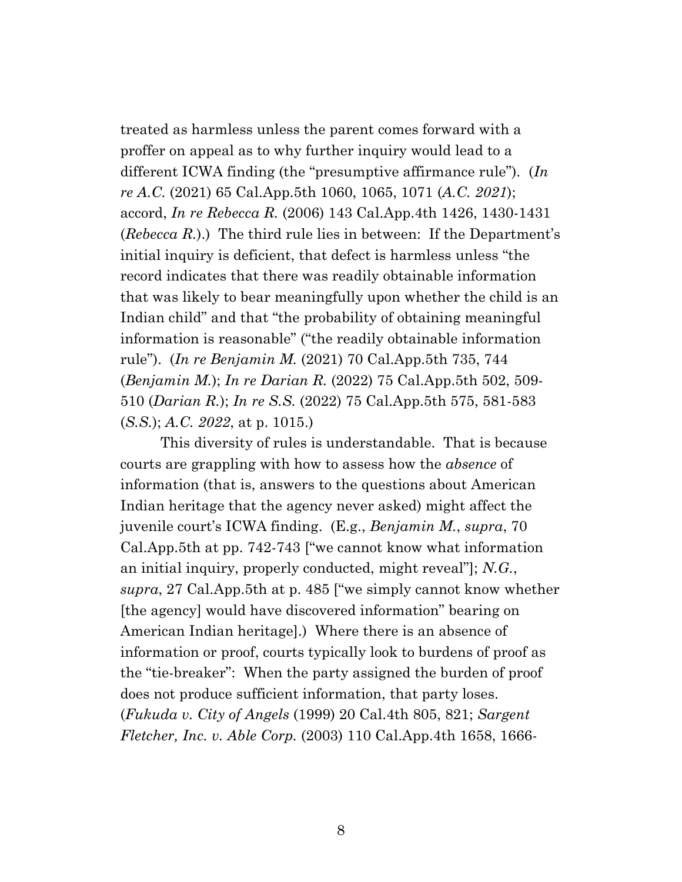treated as harmless unless the parent comes forward with a proffer on appeal as to why further inquiry would lead to a different ICWA finding (the "presumptive affirmance rule"). (*In re A.C.* (2021) 65 Cal.App.5th 1060, 1065, 1071 (*A.C. 2021*); accord, *In re Rebecca R.* (2006) 143 Cal.App.4th 1426, 1430-1431 (*Rebecca R.*).) The third rule lies in between: If the Department's initial inquiry is deficient, that defect is harmless unless "the record indicates that there was readily obtainable information that was likely to bear meaningfully upon whether the child is an Indian child" and that "the probability of obtaining meaningful information is reasonable" ("the readily obtainable information rule"). (*In re Benjamin M.* (2021) 70 Cal.App.5th 735, 744 (*Benjamin M.*); *In re Darian R.* (2022) 75 Cal.App.5th 502, 509- 510 (*Darian R.*); *In re S.S.* (2022) 75 Cal.App.5th 575, 581-583 (*S.S.*); *A.C. 2022*, at p. 1015.)

This diversity of rules is understandable. That is because courts are grappling with how to assess how the *absence* of information (that is, answers to the questions about American Indian heritage that the agency never asked) might affect the juvenile court's ICWA finding. (E.g., *Benjamin M.*, *supra*, 70 Cal.App.5th at pp. 742-743 ["we cannot know what information an initial inquiry, properly conducted, might reveal"]; *N.G.*, *supra*, 27 Cal.App.5th at p. 485 ["we simply cannot know whether [the agency] would have discovered information" bearing on American Indian heritage].) Where there is an absence of information or proof, courts typically look to burdens of proof as the "tie-breaker": When the party assigned the burden of proof does not produce sufficient information, that party loses. (*Fukuda v. City of Angels* (1999) 20 Cal.4th 805, 821; *Sargent Fletcher, Inc. v. Able Corp.* (2003) 110 Cal.App.4th 1658, 1666-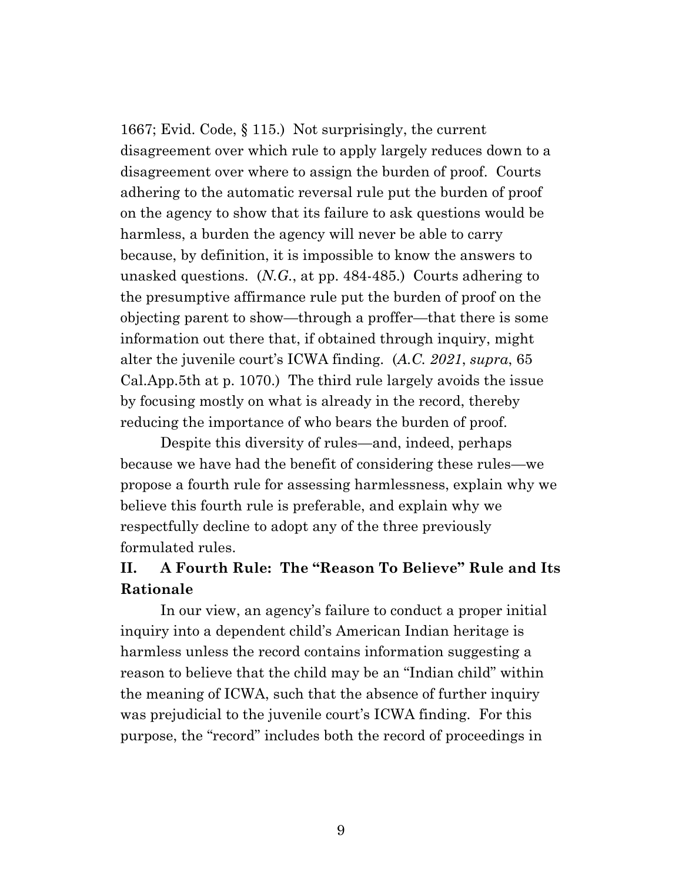1667; Evid. Code, § 115.) Not surprisingly, the current disagreement over which rule to apply largely reduces down to a disagreement over where to assign the burden of proof. Courts adhering to the automatic reversal rule put the burden of proof on the agency to show that its failure to ask questions would be harmless, a burden the agency will never be able to carry because, by definition, it is impossible to know the answers to unasked questions. (*N.G.*, at pp. 484-485.) Courts adhering to the presumptive affirmance rule put the burden of proof on the objecting parent to show—through a proffer—that there is some information out there that, if obtained through inquiry, might alter the juvenile court's ICWA finding. (*A.C. 2021*, *supra*, 65 Cal.App.5th at p. 1070.) The third rule largely avoids the issue by focusing mostly on what is already in the record, thereby reducing the importance of who bears the burden of proof.

Despite this diversity of rules—and, indeed, perhaps because we have had the benefit of considering these rules—we propose a fourth rule for assessing harmlessness, explain why we believe this fourth rule is preferable, and explain why we respectfully decline to adopt any of the three previously formulated rules.

# **II. A Fourth Rule: The "Reason To Believe" Rule and Its Rationale**

In our view, an agency's failure to conduct a proper initial inquiry into a dependent child's American Indian heritage is harmless unless the record contains information suggesting a reason to believe that the child may be an "Indian child" within the meaning of ICWA, such that the absence of further inquiry was prejudicial to the juvenile court's ICWA finding. For this purpose, the "record" includes both the record of proceedings in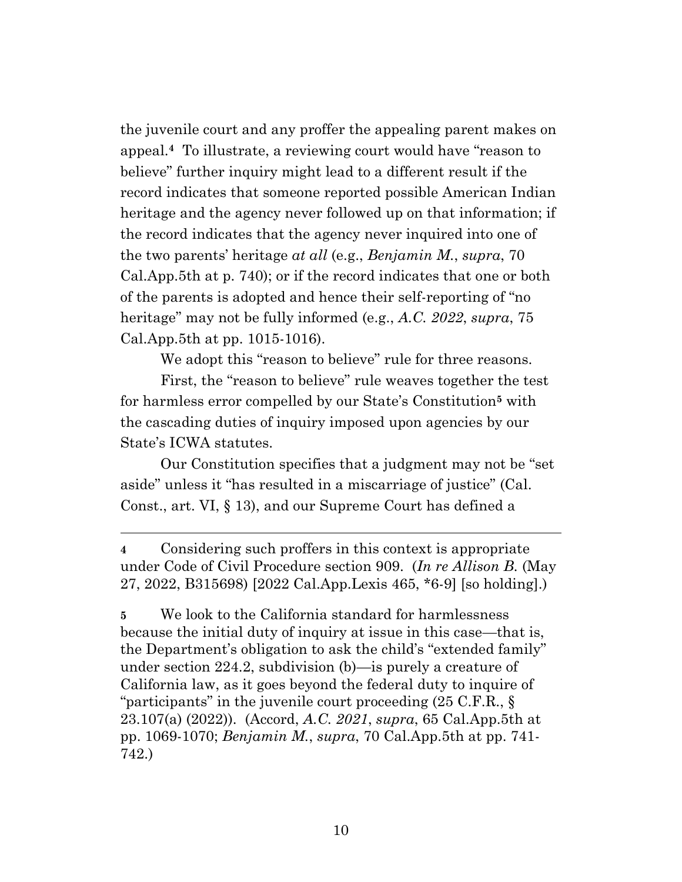the juvenile court and any proffer the appealing parent makes on appeal.**<sup>4</sup>** To illustrate, a reviewing court would have "reason to believe" further inquiry might lead to a different result if the record indicates that someone reported possible American Indian heritage and the agency never followed up on that information; if the record indicates that the agency never inquired into one of the two parents' heritage *at all* (e.g., *Benjamin M.*, *supra*, 70 Cal.App.5th at p. 740); or if the record indicates that one or both of the parents is adopted and hence their self-reporting of "no heritage" may not be fully informed (e.g., *A.C. 2022*, *supra*, 75 Cal.App.5th at pp. 1015-1016).

We adopt this "reason to believe" rule for three reasons.

First, the "reason to believe" rule weaves together the test for harmless error compelled by our State's Constitution**<sup>5</sup>** with the cascading duties of inquiry imposed upon agencies by our State's ICWA statutes.

Our Constitution specifies that a judgment may not be "set aside" unless it "has resulted in a miscarriage of justice" (Cal. Const., art. VI, § 13), and our Supreme Court has defined a

**<sup>4</sup>** Considering such proffers in this context is appropriate under Code of Civil Procedure section 909. (*In re Allison B.* (May 27, 2022, B315698) [2022 Cal.App.Lexis 465, \*6-9] [so holding].)

**<sup>5</sup>** We look to the California standard for harmlessness because the initial duty of inquiry at issue in this case—that is, the Department's obligation to ask the child's "extended family" under section 224.2, subdivision (b)—is purely a creature of California law, as it goes beyond the federal duty to inquire of "participants" in the juvenile court proceeding (25 C.F.R., § 23.107(a) (2022)). (Accord, *A.C. 2021*, *supra*, 65 Cal.App.5th at pp. 1069-1070; *Benjamin M.*, *supra*, 70 Cal.App.5th at pp. 741- 742.)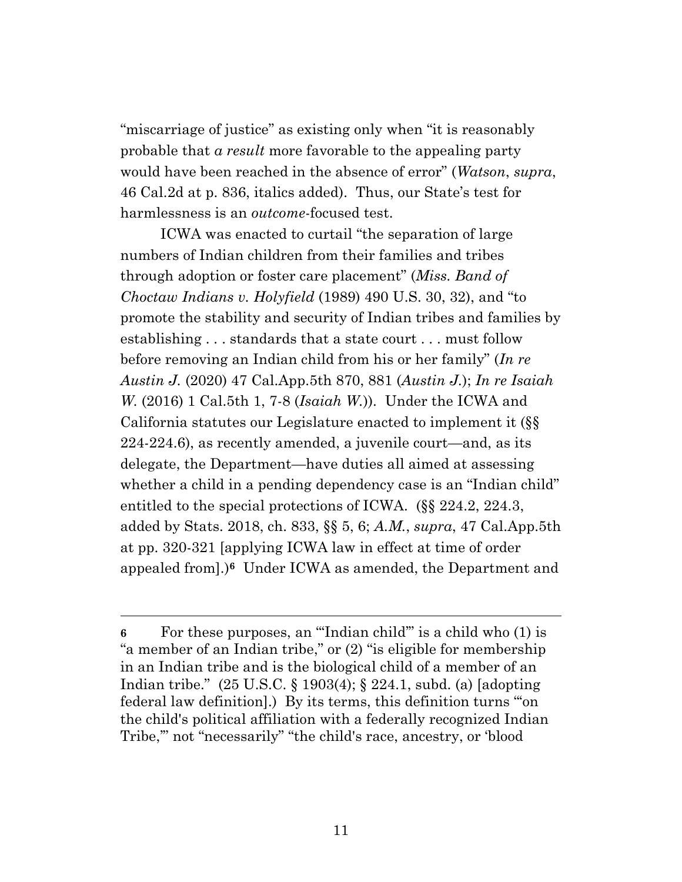"miscarriage of justice" as existing only when "it is reasonably probable that *a result* more favorable to the appealing party would have been reached in the absence of error" (*Watson*, *supra*, 46 Cal.2d at p. 836, italics added). Thus, our State's test for harmlessness is an *outcome*-focused test.

ICWA was enacted to curtail "the separation of large numbers of Indian children from their families and tribes through adoption or foster care placement" (*Miss. Band of Choctaw Indians v. Holyfield* (1989) 490 U.S. 30, 32), and "to promote the stability and security of Indian tribes and families by establishing . . . standards that a state court . . . must follow before removing an Indian child from his or her family" (*In re Austin J.* (2020) 47 Cal.App.5th 870, 881 (*Austin J.*); *In re Isaiah W.* (2016) 1 Cal.5th 1, 7-8 (*Isaiah W.*)). Under the ICWA and California statutes our Legislature enacted to implement it (§§ 224-224.6), as recently amended, a juvenile court—and, as its delegate, the Department—have duties all aimed at assessing whether a child in a pending dependency case is an "Indian child" entitled to the special protections of ICWA. (§§ 224.2, 224.3, added by Stats. 2018, ch. 833, §§ 5, 6; *A.M.*, *supra*, 47 Cal.App.5th at pp. 320-321 [applying ICWA law in effect at time of order appealed from].)**<sup>6</sup>** Under ICWA as amended, the Department and

**<sup>6</sup>** For these purposes, an "'Indian child'" is a child who (1) is "a member of an Indian tribe," or (2) "is eligible for membership in an Indian tribe and is the biological child of a member of an Indian tribe." (25 U.S.C. § 1903(4); § 224.1, subd. (a) [adopting federal law definition].) By its terms, this definition turns "'on the child's political affiliation with a federally recognized Indian Tribe,'" not "necessarily" "the child's race, ancestry, or 'blood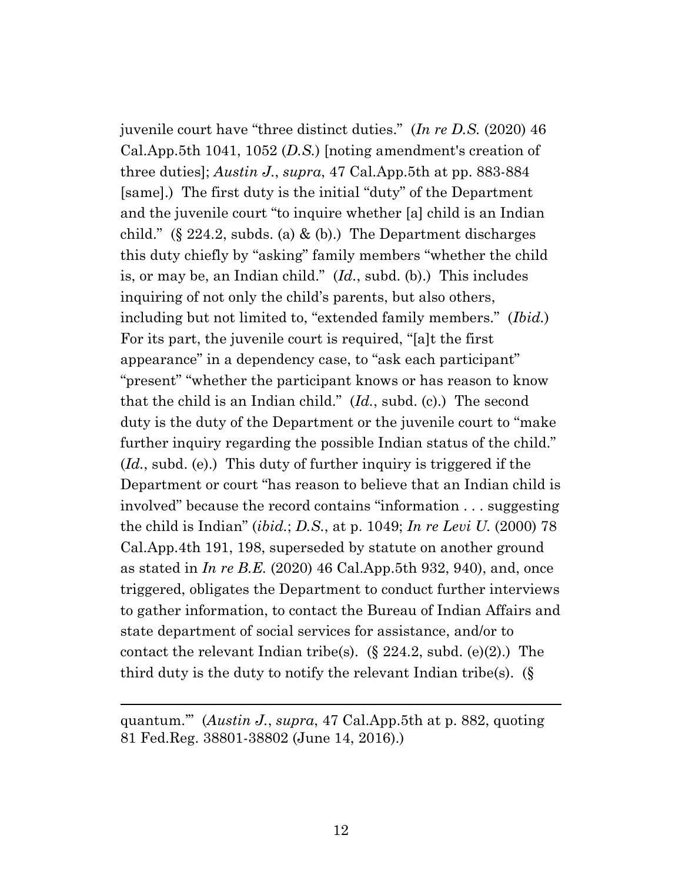juvenile court have "three distinct duties." (*In re D.S.* (2020) 46 Cal.App.5th 1041, 1052 (*D.S.*) [noting amendment's creation of three duties]; *Austin J.*, *supra*, 47 Cal.App.5th at pp. 883-884 [same].) The first duty is the initial "duty" of the Department and the juvenile court "to inquire whether [a] child is an Indian child." (§ 224.2, subds. (a) & (b).) The Department discharges this duty chiefly by "asking" family members "whether the child is, or may be, an Indian child." (*Id.*, subd. (b).) This includes inquiring of not only the child's parents, but also others, including but not limited to, "extended family members." (*Ibid.*) For its part, the juvenile court is required, "[a]t the first appearance" in a dependency case, to "ask each participant" "present" "whether the participant knows or has reason to know that the child is an Indian child." (*Id.*, subd. (c).) The second duty is the duty of the Department or the juvenile court to "make further inquiry regarding the possible Indian status of the child." (*Id.*, subd. (e).) This duty of further inquiry is triggered if the Department or court "has reason to believe that an Indian child is involved" because the record contains "information . . . suggesting the child is Indian" (*ibid.*; *D.S.*, at p. 1049; *In re Levi U.* (2000) 78 Cal.App.4th 191, 198, superseded by statute on another ground as stated in *In re B.E.* (2020) 46 Cal.App.5th 932, 940), and, once triggered, obligates the Department to conduct further interviews to gather information, to contact the Bureau of Indian Affairs and state department of social services for assistance, and/or to contact the relevant Indian tribe(s).  $(\S$  224.2, subd. (e)(2).) The third duty is the duty to notify the relevant Indian tribe(s). (§

quantum.'" (*Austin J.*, *supra*, 47 Cal.App.5th at p. 882, quoting 81 Fed.Reg. 38801-38802 (June 14, 2016).)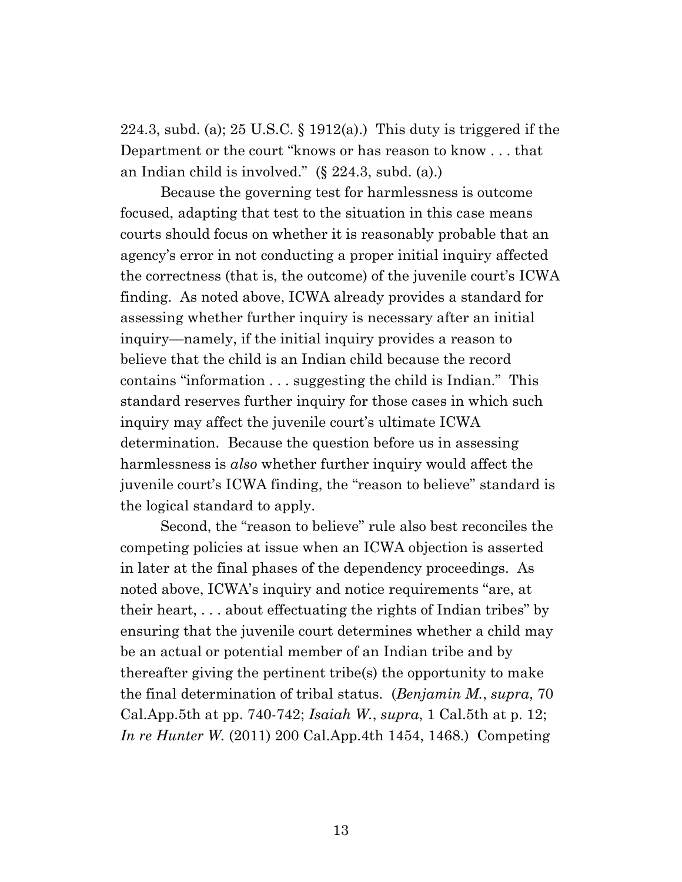224.3, subd. (a); 25 U.S.C.  $\S$  1912(a).) This duty is triggered if the Department or the court "knows or has reason to know . . . that an Indian child is involved." (§ 224.3, subd. (a).)

Because the governing test for harmlessness is outcome focused, adapting that test to the situation in this case means courts should focus on whether it is reasonably probable that an agency's error in not conducting a proper initial inquiry affected the correctness (that is, the outcome) of the juvenile court's ICWA finding. As noted above, ICWA already provides a standard for assessing whether further inquiry is necessary after an initial inquiry—namely, if the initial inquiry provides a reason to believe that the child is an Indian child because the record contains "information . . . suggesting the child is Indian." This standard reserves further inquiry for those cases in which such inquiry may affect the juvenile court's ultimate ICWA determination. Because the question before us in assessing harmlessness is *also* whether further inquiry would affect the juvenile court's ICWA finding, the "reason to believe" standard is the logical standard to apply.

Second, the "reason to believe" rule also best reconciles the competing policies at issue when an ICWA objection is asserted in later at the final phases of the dependency proceedings. As noted above, ICWA's inquiry and notice requirements "are, at their heart, . . . about effectuating the rights of Indian tribes" by ensuring that the juvenile court determines whether a child may be an actual or potential member of an Indian tribe and by thereafter giving the pertinent tribe(s) the opportunity to make the final determination of tribal status. (*Benjamin M.*, *supra*, 70 Cal.App.5th at pp. 740-742; *Isaiah W.*, *supra*, 1 Cal.5th at p. 12; *In re Hunter W.* (2011) 200 Cal.App.4th 1454, 1468.) Competing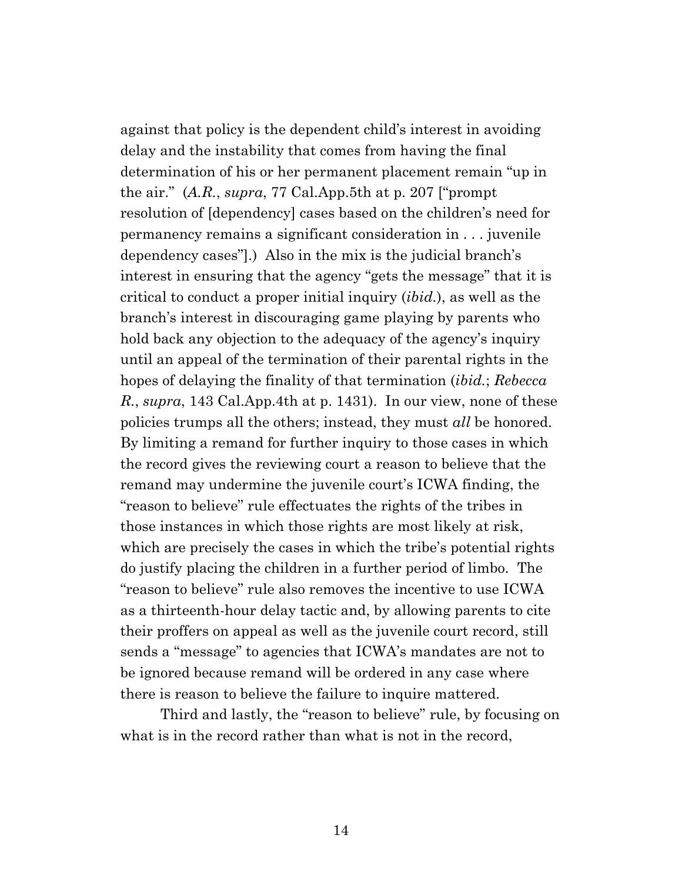against that policy is the dependent child's interest in avoiding delay and the instability that comes from having the final determination of his or her permanent placement remain "up in the air." (*A.R.*, *supra*, 77 Cal.App.5th at p. 207 ["prompt resolution of [dependency] cases based on the children's need for permanency remains a significant consideration in . . . juvenile dependency cases"].) Also in the mix is the judicial branch's interest in ensuring that the agency "gets the message" that it is critical to conduct a proper initial inquiry (*ibid.*), as well as the branch's interest in discouraging game playing by parents who hold back any objection to the adequacy of the agency's inquiry until an appeal of the termination of their parental rights in the hopes of delaying the finality of that termination (*ibid.*; *Rebecca R.*, *supra*, 143 Cal.App.4th at p. 1431). In our view, none of these policies trumps all the others; instead, they must *all* be honored. By limiting a remand for further inquiry to those cases in which the record gives the reviewing court a reason to believe that the remand may undermine the juvenile court's ICWA finding, the "reason to believe" rule effectuates the rights of the tribes in those instances in which those rights are most likely at risk, which are precisely the cases in which the tribe's potential rights do justify placing the children in a further period of limbo. The "reason to believe" rule also removes the incentive to use ICWA as a thirteenth-hour delay tactic and, by allowing parents to cite their proffers on appeal as well as the juvenile court record, still sends a "message" to agencies that ICWA's mandates are not to be ignored because remand will be ordered in any case where there is reason to believe the failure to inquire mattered.

Third and lastly, the "reason to believe" rule, by focusing on what is in the record rather than what is not in the record,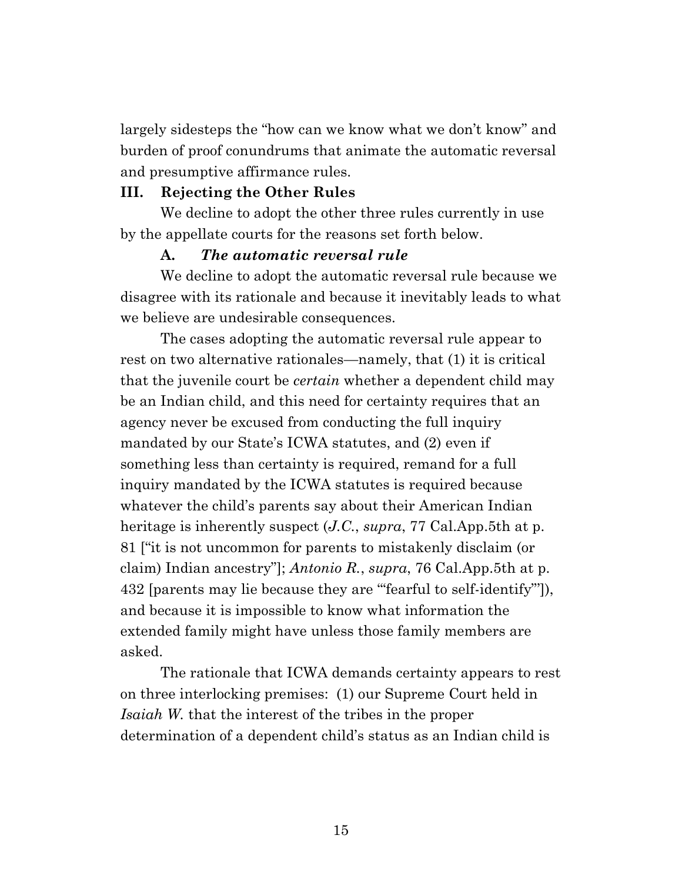largely sidesteps the "how can we know what we don't know" and burden of proof conundrums that animate the automatic reversal and presumptive affirmance rules.

#### **III. Rejecting the Other Rules**

We decline to adopt the other three rules currently in use by the appellate courts for the reasons set forth below.

#### **A.** *The automatic reversal rule*

We decline to adopt the automatic reversal rule because we disagree with its rationale and because it inevitably leads to what we believe are undesirable consequences.

The cases adopting the automatic reversal rule appear to rest on two alternative rationales—namely, that (1) it is critical that the juvenile court be *certain* whether a dependent child may be an Indian child, and this need for certainty requires that an agency never be excused from conducting the full inquiry mandated by our State's ICWA statutes, and (2) even if something less than certainty is required, remand for a full inquiry mandated by the ICWA statutes is required because whatever the child's parents say about their American Indian heritage is inherently suspect (*J.C.*, *supra*, 77 Cal.App.5th at p. 81 ["it is not uncommon for parents to mistakenly disclaim (or claim) Indian ancestry"]; *Antonio R.*, *supra*, 76 Cal.App.5th at p. 432 [parents may lie because they are '"fearful to self-identify"']), and because it is impossible to know what information the extended family might have unless those family members are asked.

The rationale that ICWA demands certainty appears to rest on three interlocking premises: (1) our Supreme Court held in *Isaiah W.* that the interest of the tribes in the proper determination of a dependent child's status as an Indian child is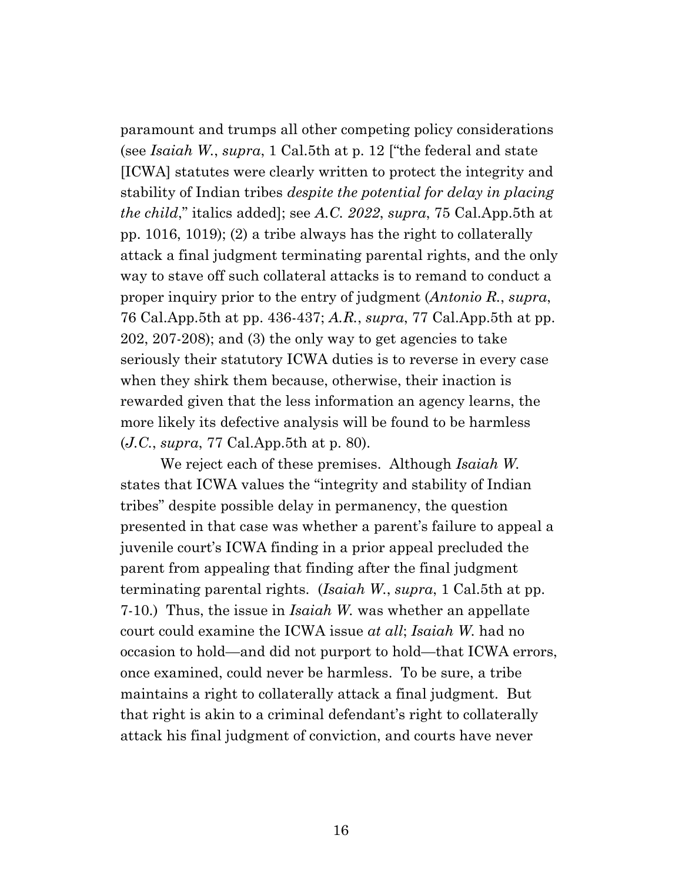paramount and trumps all other competing policy considerations (see *Isaiah W.*, *supra*, 1 Cal.5th at p. 12 ["the federal and state [ICWA] statutes were clearly written to protect the integrity and stability of Indian tribes *despite the potential for delay in placing the child*," italics added]; see *A.C. 2022*, *supra*, 75 Cal.App.5th at pp. 1016, 1019); (2) a tribe always has the right to collaterally attack a final judgment terminating parental rights, and the only way to stave off such collateral attacks is to remand to conduct a proper inquiry prior to the entry of judgment (*Antonio R.*, *supra*, 76 Cal.App.5th at pp. 436-437; *A.R.*, *supra*, 77 Cal.App.5th at pp. 202, 207-208); and (3) the only way to get agencies to take seriously their statutory ICWA duties is to reverse in every case when they shirk them because, otherwise, their inaction is rewarded given that the less information an agency learns, the more likely its defective analysis will be found to be harmless (*J.C.*, *supra*, 77 Cal.App.5th at p. 80).

We reject each of these premises. Although *Isaiah W.* states that ICWA values the "integrity and stability of Indian tribes" despite possible delay in permanency, the question presented in that case was whether a parent's failure to appeal a juvenile court's ICWA finding in a prior appeal precluded the parent from appealing that finding after the final judgment terminating parental rights. (*Isaiah W.*, *supra*, 1 Cal.5th at pp. 7-10.) Thus, the issue in *Isaiah W.* was whether an appellate court could examine the ICWA issue *at all*; *Isaiah W.* had no occasion to hold—and did not purport to hold—that ICWA errors, once examined, could never be harmless. To be sure, a tribe maintains a right to collaterally attack a final judgment. But that right is akin to a criminal defendant's right to collaterally attack his final judgment of conviction, and courts have never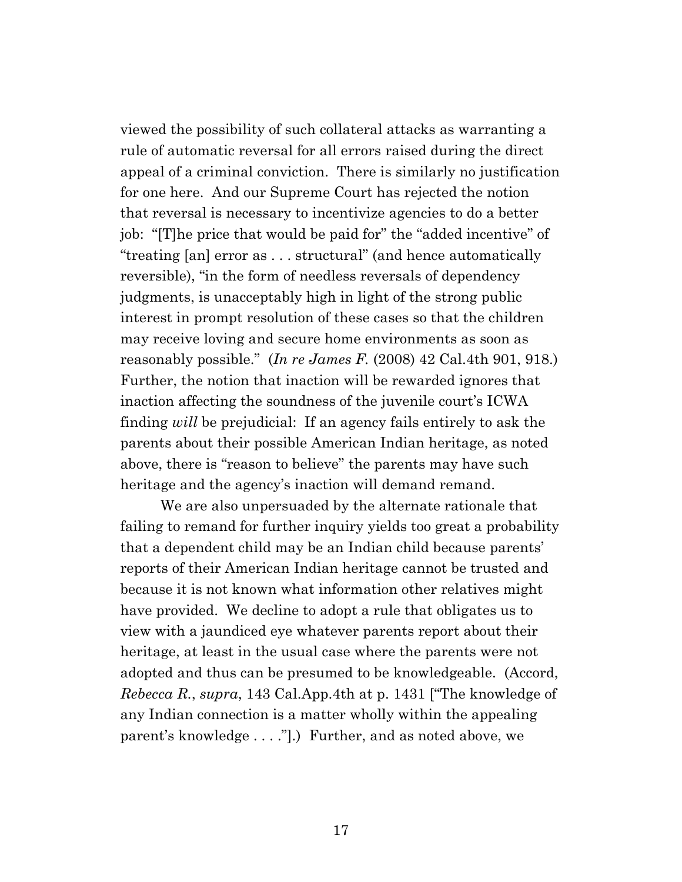viewed the possibility of such collateral attacks as warranting a rule of automatic reversal for all errors raised during the direct appeal of a criminal conviction. There is similarly no justification for one here. And our Supreme Court has rejected the notion that reversal is necessary to incentivize agencies to do a better job: "[T]he price that would be paid for" the "added incentive" of "treating [an] error as . . . structural" (and hence automatically reversible), "in the form of needless reversals of dependency judgments, is unacceptably high in light of the strong public interest in prompt resolution of these cases so that the children may receive loving and secure home environments as soon as reasonably possible." (*In re James F.* (2008) 42 Cal.4th 901, 918.) Further, the notion that inaction will be rewarded ignores that inaction affecting the soundness of the juvenile court's ICWA finding *will* be prejudicial: If an agency fails entirely to ask the parents about their possible American Indian heritage, as noted above, there is "reason to believe" the parents may have such heritage and the agency's inaction will demand remand.

We are also unpersuaded by the alternate rationale that failing to remand for further inquiry yields too great a probability that a dependent child may be an Indian child because parents' reports of their American Indian heritage cannot be trusted and because it is not known what information other relatives might have provided. We decline to adopt a rule that obligates us to view with a jaundiced eye whatever parents report about their heritage, at least in the usual case where the parents were not adopted and thus can be presumed to be knowledgeable. (Accord, *Rebecca R.*, *supra*, 143 Cal.App.4th at p. 1431 ["The knowledge of any Indian connection is a matter wholly within the appealing parent's knowledge . . . ."].) Further, and as noted above, we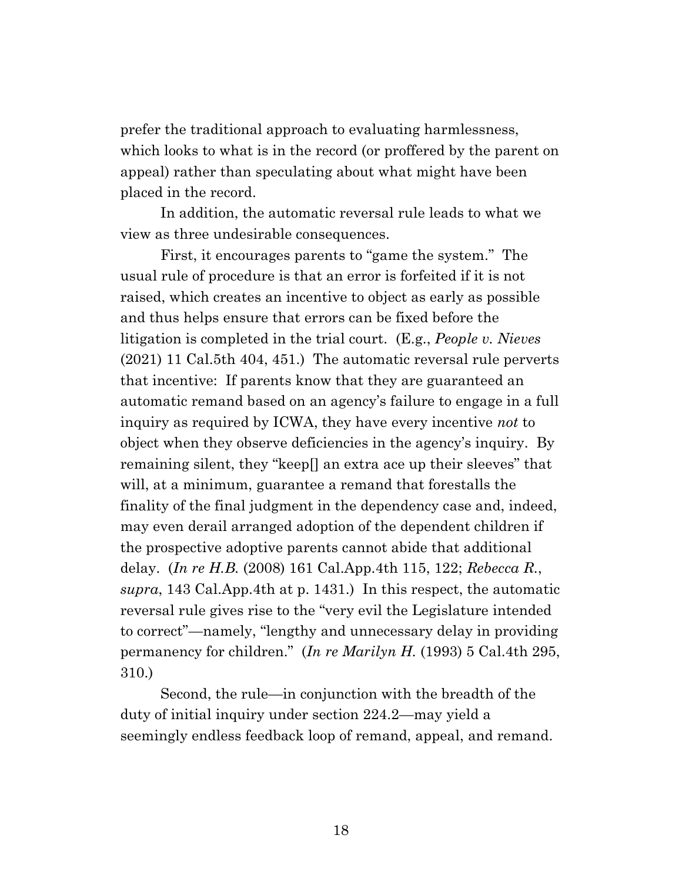prefer the traditional approach to evaluating harmlessness, which looks to what is in the record (or proffered by the parent on appeal) rather than speculating about what might have been placed in the record.

In addition, the automatic reversal rule leads to what we view as three undesirable consequences.

First, it encourages parents to "game the system." The usual rule of procedure is that an error is forfeited if it is not raised, which creates an incentive to object as early as possible and thus helps ensure that errors can be fixed before the litigation is completed in the trial court. (E.g., *People v. Nieves* (2021) 11 Cal.5th 404, 451.) The automatic reversal rule perverts that incentive: If parents know that they are guaranteed an automatic remand based on an agency's failure to engage in a full inquiry as required by ICWA, they have every incentive *not* to object when they observe deficiencies in the agency's inquiry. By remaining silent, they "keep[] an extra ace up their sleeves" that will, at a minimum, guarantee a remand that forestalls the finality of the final judgment in the dependency case and, indeed, may even derail arranged adoption of the dependent children if the prospective adoptive parents cannot abide that additional delay. (*In re H.B.* (2008) 161 Cal.App.4th 115, 122; *Rebecca R.*, *supra*, 143 Cal.App.4th at p. 1431.) In this respect, the automatic reversal rule gives rise to the "very evil the Legislature intended to correct"—namely, "lengthy and unnecessary delay in providing permanency for children." (*In re Marilyn H.* (1993) 5 Cal.4th 295, 310.)

Second, the rule—in conjunction with the breadth of the duty of initial inquiry under section 224.2—may yield a seemingly endless feedback loop of remand, appeal, and remand.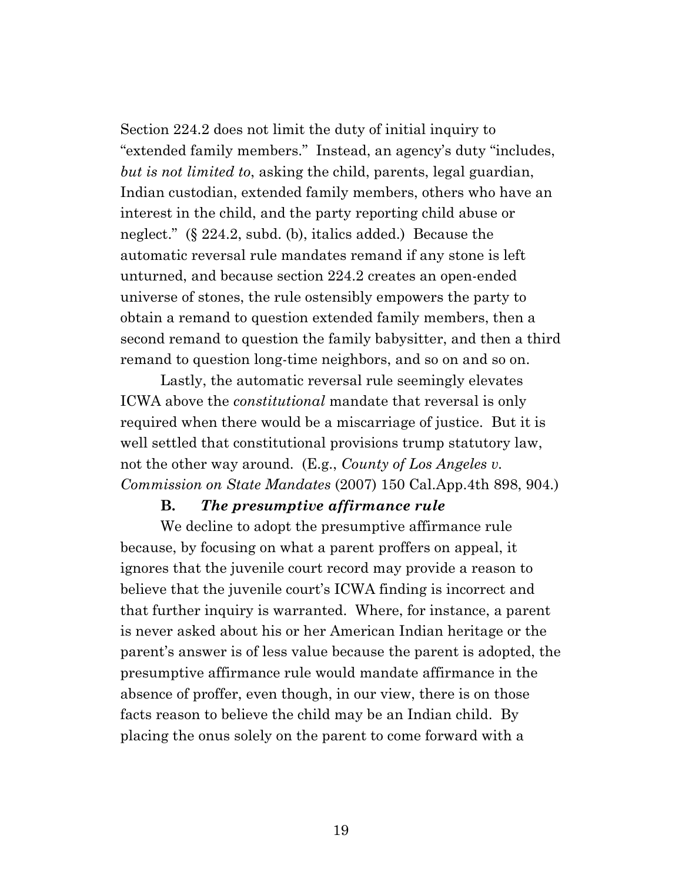Section 224.2 does not limit the duty of initial inquiry to "extended family members." Instead, an agency's duty "includes, *but is not limited to*, asking the child, parents, legal guardian, Indian custodian, extended family members, others who have an interest in the child, and the party reporting child abuse or neglect." (§ 224.2, subd. (b), italics added.) Because the automatic reversal rule mandates remand if any stone is left unturned, and because section 224.2 creates an open-ended universe of stones, the rule ostensibly empowers the party to obtain a remand to question extended family members, then a second remand to question the family babysitter, and then a third remand to question long-time neighbors, and so on and so on.

Lastly, the automatic reversal rule seemingly elevates ICWA above the *constitutional* mandate that reversal is only required when there would be a miscarriage of justice. But it is well settled that constitutional provisions trump statutory law, not the other way around. (E.g., *County of Los Angeles v. Commission on State Mandates* (2007) 150 Cal.App.4th 898, 904.)

#### **B.** *The presumptive affirmance rule*

We decline to adopt the presumptive affirmance rule because, by focusing on what a parent proffers on appeal, it ignores that the juvenile court record may provide a reason to believe that the juvenile court's ICWA finding is incorrect and that further inquiry is warranted. Where, for instance, a parent is never asked about his or her American Indian heritage or the parent's answer is of less value because the parent is adopted, the presumptive affirmance rule would mandate affirmance in the absence of proffer, even though, in our view, there is on those facts reason to believe the child may be an Indian child. By placing the onus solely on the parent to come forward with a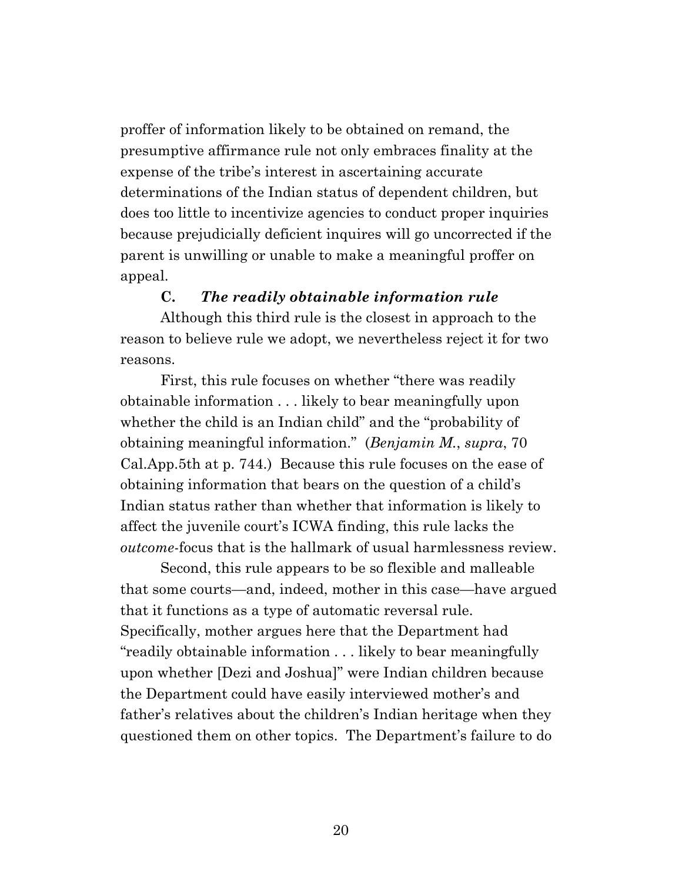proffer of information likely to be obtained on remand, the presumptive affirmance rule not only embraces finality at the expense of the tribe's interest in ascertaining accurate determinations of the Indian status of dependent children, but does too little to incentivize agencies to conduct proper inquiries because prejudicially deficient inquires will go uncorrected if the parent is unwilling or unable to make a meaningful proffer on appeal.

#### **C.** *The readily obtainable information rule*

Although this third rule is the closest in approach to the reason to believe rule we adopt, we nevertheless reject it for two reasons.

First, this rule focuses on whether "there was readily obtainable information . . . likely to bear meaningfully upon whether the child is an Indian child" and the "probability of obtaining meaningful information." (*Benjamin M.*, *supra*, 70 Cal.App.5th at p. 744.) Because this rule focuses on the ease of obtaining information that bears on the question of a child's Indian status rather than whether that information is likely to affect the juvenile court's ICWA finding, this rule lacks the *outcome*-focus that is the hallmark of usual harmlessness review.

Second, this rule appears to be so flexible and malleable that some courts—and, indeed, mother in this case—have argued that it functions as a type of automatic reversal rule. Specifically, mother argues here that the Department had "readily obtainable information . . . likely to bear meaningfully upon whether [Dezi and Joshua]" were Indian children because the Department could have easily interviewed mother's and father's relatives about the children's Indian heritage when they questioned them on other topics. The Department's failure to do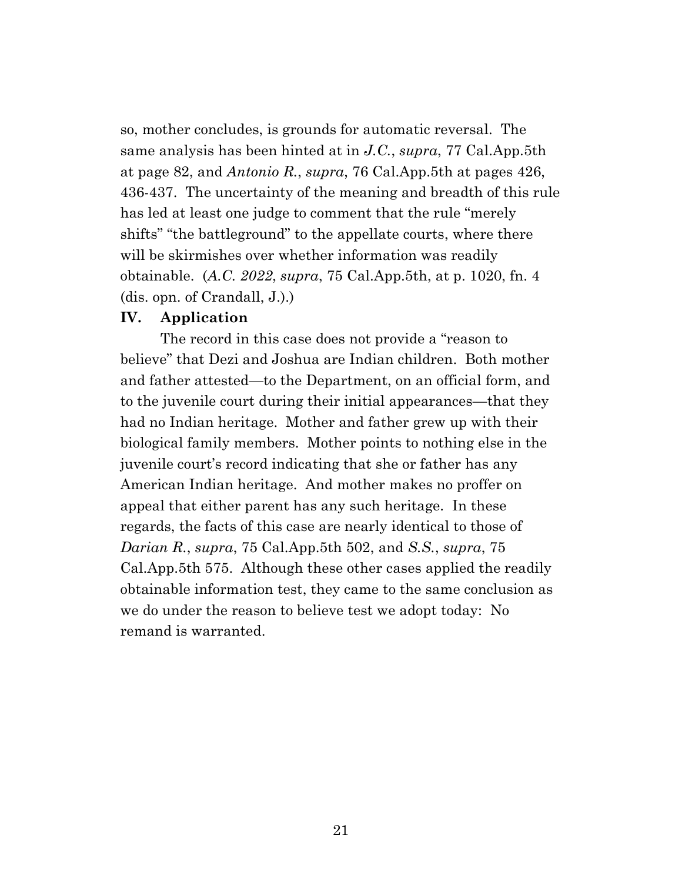so, mother concludes, is grounds for automatic reversal. The same analysis has been hinted at in *J.C.*, *supra*, 77 Cal.App.5th at page 82, and *Antonio R.*, *supra*, 76 Cal.App.5th at pages 426, 436-437. The uncertainty of the meaning and breadth of this rule has led at least one judge to comment that the rule "merely shifts" "the battleground" to the appellate courts, where there will be skirmishes over whether information was readily obtainable. (*A.C. 2022*, *supra*, 75 Cal.App.5th, at p. 1020, fn. 4 (dis. opn. of Crandall, J.).)

#### **IV. Application**

The record in this case does not provide a "reason to believe" that Dezi and Joshua are Indian children. Both mother and father attested—to the Department, on an official form, and to the juvenile court during their initial appearances—that they had no Indian heritage. Mother and father grew up with their biological family members. Mother points to nothing else in the juvenile court's record indicating that she or father has any American Indian heritage. And mother makes no proffer on appeal that either parent has any such heritage. In these regards, the facts of this case are nearly identical to those of *Darian R.*, *supra*, 75 Cal.App.5th 502, and *S.S.*, *supra*, 75 Cal.App.5th 575. Although these other cases applied the readily obtainable information test, they came to the same conclusion as we do under the reason to believe test we adopt today: No remand is warranted.